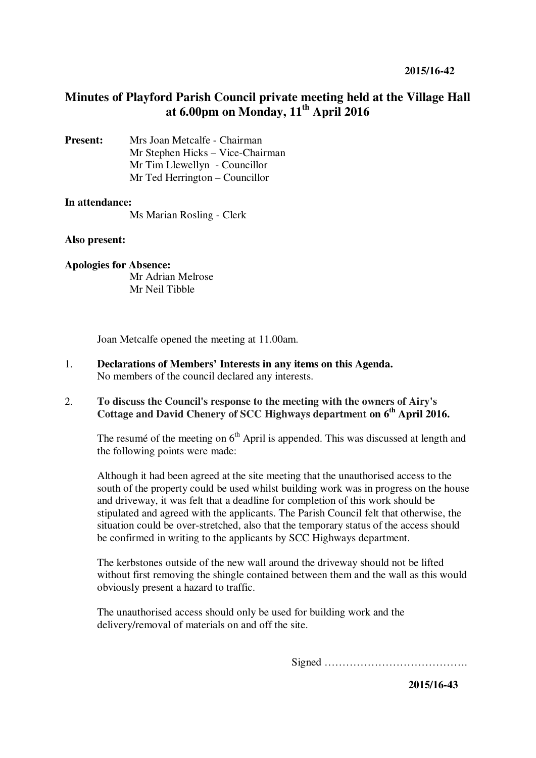## **Minutes of Playford Parish Council private meeting held at the Village Hall at 6.00pm on Monday, 11th April 2016**

**Present:** Mrs Joan Metcalfe - Chairman Mr Stephen Hicks – Vice-Chairman Mr Tim Llewellyn- Councillor Mr Ted Herrington – Councillor

## **In attendance:**

Ms Marian Rosling - Clerk

## **Also present:**

**Apologies for Absence:** Mr Adrian Melrose Mr Neil Tibble

Joan Metcalfe opened the meeting at 11.00am.

1. **Declarations of Members' Interests in any items on this Agenda.**  No members of the council declared any interests.

## 2. **To discuss the Council's response to the meeting with the owners of Airy's Cottage and David Chenery of SCC Highways department on 6th April 2016.**

The resume of the meeting on  $6<sup>th</sup>$  April is appended. This was discussed at length and the following points were made:

Although it had been agreed at the site meeting that the unauthorised access to the south of the property could be used whilst building work was in progress on the house and driveway, it was felt that a deadline for completion of this work should be stipulated and agreed with the applicants. The Parish Council felt that otherwise, the situation could be over-stretched, also that the temporary status of the access should be confirmed in writing to the applicants by SCC Highways department.

The kerbstones outside of the new wall around the driveway should not be lifted without first removing the shingle contained between them and the wall as this would obviously present a hazard to traffic.

The unauthorised access should only be used for building work and the delivery/removal of materials on and off the site.

Signed ………………………………….

**2015/16-43**